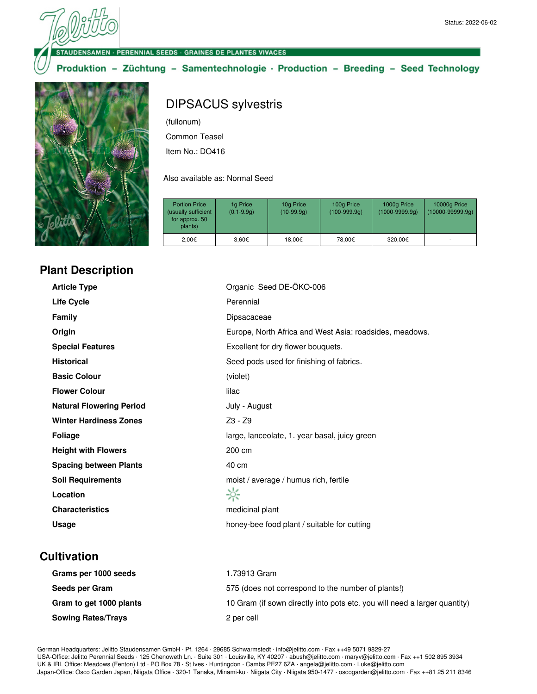**JDENSAMEN · PERENNIAL SEEDS · GRAINES DE PLANTES VIVACES** 

Produktion - Züchtung - Samentechnologie · Production - Breeding - Seed Technology



## **Plant Description**

## DIPSACUS sylvestris

(fullonum)

Common Teasel

Item No.: DO416

Also available as: Normal Seed

| <b>Portion Price</b><br>(usually sufficient<br>for approx. 50<br>plants) | 1g Price<br>$(0.1 - 9.9q)$ | 10g Price<br>$(10-99.9q)$ | 100g Price<br>$(100-999.9q)$ | 1000g Price<br>$(1000 - 9999.9q)$ | 10000g Price<br>$(10000-99999.9q)$ |
|--------------------------------------------------------------------------|----------------------------|---------------------------|------------------------------|-----------------------------------|------------------------------------|
| 2.00€                                                                    | 3,60€                      | 18.00€                    | 78.00€                       | 320.00€                           | ۰                                  |

| <b>Article Type</b>             | Organic Seed DE-ÖKO-006                                 |  |
|---------------------------------|---------------------------------------------------------|--|
| <b>Life Cycle</b>               | Perennial                                               |  |
| <b>Family</b>                   | Dipsacaceae                                             |  |
| Origin                          | Europe, North Africa and West Asia: roadsides, meadows. |  |
| <b>Special Features</b>         | Excellent for dry flower bouquets.                      |  |
| <b>Historical</b>               | Seed pods used for finishing of fabrics.                |  |
| <b>Basic Colour</b>             | (violet)                                                |  |
| <b>Flower Colour</b>            | lilac                                                   |  |
| <b>Natural Flowering Period</b> | July - August                                           |  |
| <b>Winter Hardiness Zones</b>   | Z3 - Z9                                                 |  |
| <b>Foliage</b>                  | large, lanceolate, 1. year basal, juicy green           |  |
| <b>Height with Flowers</b>      | 200 cm                                                  |  |
| <b>Spacing between Plants</b>   | 40 cm                                                   |  |
| <b>Soil Requirements</b>        | moist / average / humus rich, fertile                   |  |
| Location                        | ☆                                                       |  |
| <b>Characteristics</b>          | medicinal plant                                         |  |
| Usage                           | honey-bee food plant / suitable for cutting             |  |

## **Cultivation**

| Grams per 1000 seeds      | 1.73913 Gram                                                              |
|---------------------------|---------------------------------------------------------------------------|
| Seeds per Gram            | 575 (does not correspond to the number of plants!)                        |
| Gram to get 1000 plants   | 10 Gram (if sown directly into pots etc. you will need a larger quantity) |
| <b>Sowing Rates/Trays</b> | 2 per cell                                                                |